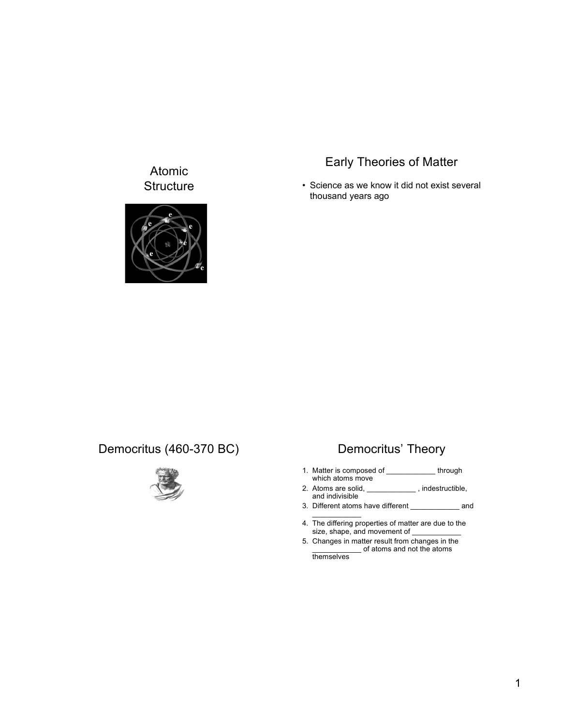## Atomic **Structure**



# Early Theories of Matter

• Science as we know it did not exist several thousand years ago

## Democritus (460-370 BC) Democritus' Theory



- 1. Matter is composed of \_\_\_\_\_\_\_\_\_\_\_\_ through which atoms move
- 2. Atoms are solid, \_\_\_\_\_\_\_\_\_\_\_\_\_, indestructible, and indivisible
- 3. Different atoms have different \_\_\_\_\_\_\_\_\_\_\_\_ and  $\mathcal{L}=\mathcal{L}$
- 4. The differing properties of matter are due to the size, shape, and movement of \_\_\_\_\_\_\_\_\_\_\_\_
- 5. Changes in matter result from changes in the \_\_\_\_\_\_\_\_\_\_\_\_ of atoms and not the atoms

themselves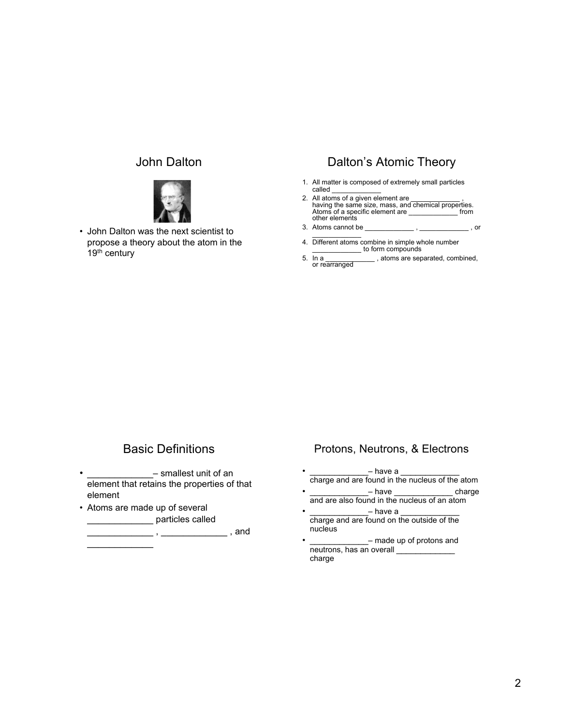#### John Dalton



• John Dalton was the next scientist to propose a theory about the atom in the 19<sup>th</sup> century

### Dalton's Atomic Theory

- 1. All matter is composed of extremely small particles called \_\_\_\_\_\_\_\_\_\_\_\_
- 2. All atoms of a given element are \_\_\_\_\_\_\_\_\_\_\_\_ , having the same size, mass, and chemical properties. Atoms of a specific element are \_\_\_\_\_\_\_\_\_\_\_\_ from other elements
- 3. Atoms cannot be \_\_\_\_\_\_\_\_\_\_\_\_ , \_\_\_\_\_\_\_\_\_\_\_\_ , or  $\mathcal{L}=\mathcal{L}$
- 4. Different atoms combine in simple whole number \_\_\_\_\_\_\_\_\_\_\_\_ to form compounds
- sta a toms are separated, combined, 5. In a

## Basic Definitions

- smallest unit of an element that retains the properties of that element
- Atoms are made up of several particles called

 $\, \,$ ,  $\,$  $\mathcal{L}_\text{max}$ 

#### Protons, Neutrons, & Electrons

- \_\_\_\_\_\_\_\_\_\_\_\_– have a \_\_\_\_\_\_\_\_\_\_\_\_ charge and are found in the nucleus of the atom
- $-$  have  $\qquad \qquad$  charge and are also found in the nucleus of an atom
- $-$  have a charge and are found on the outside of the nucleus

<sup>-</sup> made up of protons and neutrons, has an overall charge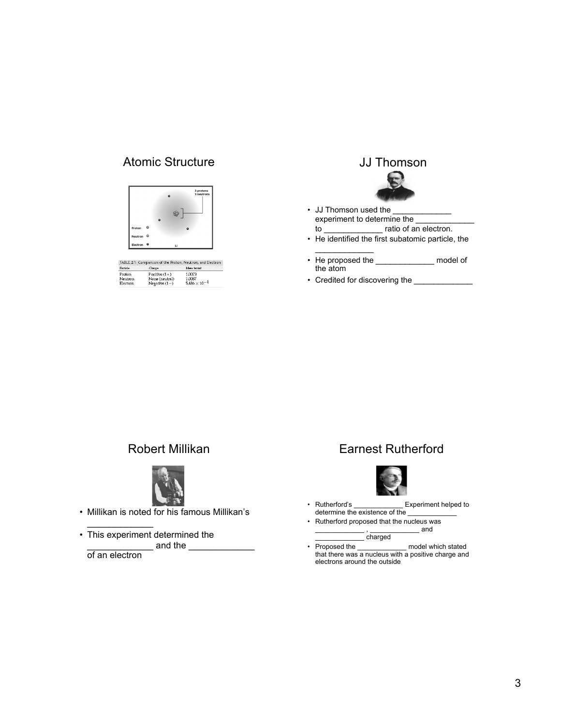## Atomic Structure **Atomic Structure JJ Thomson**



| TABLE.2.1 Comparison of the Proton, Neutron, and Electron - |                 |                        |  |  |
|-------------------------------------------------------------|-----------------|------------------------|--|--|
| Particle                                                    | Change          | Mass (arra)            |  |  |
| <b>Proton</b>                                               | Positive $(1+)$ | 1.0073                 |  |  |
| Neutron                                                     | None (neutral)  | 1.0087                 |  |  |
| Electron                                                    | Negative $(1-)$ | $5.486 \times 10^{-4}$ |  |  |

- JJ Thomson used the experiment to determine the \_\_\_\_\_\_\_\_\_\_\_\_  $-$  ratio of an electron.
- He identified the first subatomic particle, the
- $\frac{1}{2}$ • He proposed the \_\_\_\_\_\_\_\_\_\_\_\_\_\_\_ model of the atom
- Credited for discovering the \_\_\_\_\_\_\_\_\_\_\_\_\_\_\_

## Robert Millikan



• Millikan is noted for his famous Millikan's

 $\mathcal{L}_\text{max}$ • This experiment determined the \_\_\_\_\_\_\_\_\_\_\_\_ and the \_\_\_\_\_\_\_\_\_\_\_\_

of an electron

## Earnest Rutherford



- Rutherford's \_\_\_\_\_\_\_\_\_\_\_\_ Experiment helped to determine the existence of the
- Rutherford proposed that the nucleus was \_\_ , \_\_\_\_\_\_\_\_\_\_\_\_\_ and

 $\overline{\phantom{a}}$  charged

• Proposed the model which stated that there was a nucleus with a positive charge and electrons around the outside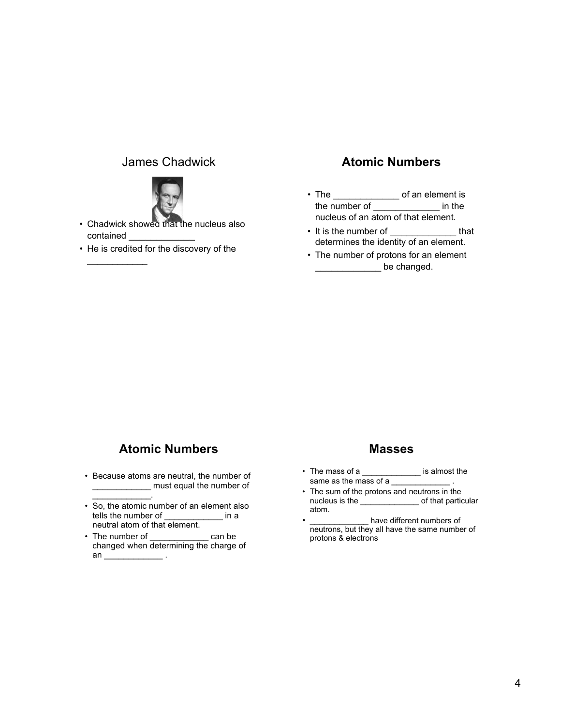#### James Chadwick



- Chadwick showed that the nucleus also contained
- He is credited for the discovery of the

 $\frac{1}{2}$ 

### **Atomic Numbers**

- The \_\_\_\_\_\_\_\_\_\_\_\_\_\_\_\_\_ of an element is the number of \_\_\_\_\_\_\_\_\_\_\_\_ in the nucleus of an atom of that element.
- It is the number of \_\_\_\_\_\_\_\_\_\_\_\_\_\_ that determines the identity of an element.
- The number of protons for an element **\_\_\_\_\_\_\_\_\_\_\_\_\_\_\_** be changed.

## **Atomic Numbers**

• Because atoms are neutral, the number of \_\_\_\_\_\_\_\_\_\_\_\_ must equal the number of

 $\mathcal{L}=\mathcal{L}^{\mathcal{L}}$  , where  $\mathcal{L}^{\mathcal{L}}$ 

- So, the atomic number of an element also tells the number of \_\_\_\_\_\_\_\_\_\_\_\_\_ in a neutral atom of that element.
- The number of can be changed when determining the charge of an  $\frac{1}{\sqrt{1-\frac{1}{2}}}\cdot$

#### **Masses**

- The mass of a \_\_\_\_\_\_\_\_\_\_\_\_\_\_\_ is almost the same as the mass of a
- The sum of the protons and neutrons in the nucleus is the according to that particular atom.
- \_\_\_\_\_\_\_\_\_\_\_\_\_\_\_ have different numbers of neutrons, but they all have the same number of protons & electrons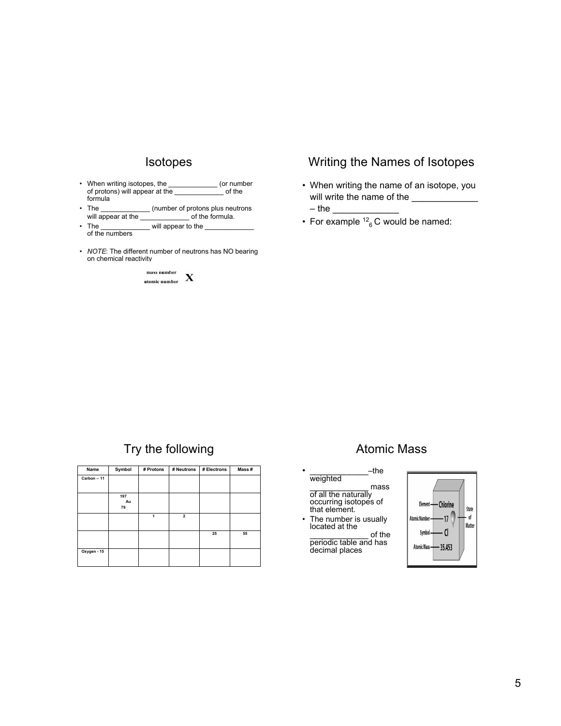#### Isotopes

- When writing isotopes, the \_\_\_\_\_\_\_\_\_\_\_\_\_ (or number<br>of protons) will appear at the of the of protons) will appear at the formula
- The \_\_\_\_\_\_\_\_\_\_\_\_ (number of protons plus neutrons will appear at the
- The \_\_\_\_\_\_\_\_\_\_\_\_\_\_\_ will appear to the of the numbers
- *NOTE*: The different number of neutrons has NO bearing on chemical reactivity



### Writing the Names of Isotopes

- When writing the name of an isotope, you will write the name of the  $-$  the  $\_$
- For example  $12^6$  C would be named:

## Try the following

| Name        | Symbol    | # Protons | # Neutrons     | # Electrons | Mass# |
|-------------|-----------|-----------|----------------|-------------|-------|
| Carbon - 11 |           |           |                |             |       |
|             |           |           |                |             |       |
|             | 197<br>Au |           |                |             |       |
|             | 79        |           |                |             |       |
|             |           | 1         | $\overline{2}$ |             |       |
|             |           |           |                |             |       |
|             |           |           |                | 25          | 55    |
|             |           |           |                |             |       |
| Oxygen - 15 |           |           |                |             |       |
|             |           |           |                |             |       |

## Atomic Mass

- $-$ the weighted \_\_\_\_\_\_\_\_\_\_\_\_ mass of all the naturally occurring isotopes of that element.
- The number is usually located at the \_\_\_\_\_\_\_\_\_\_\_\_ of the
- periodic table and has decimal places